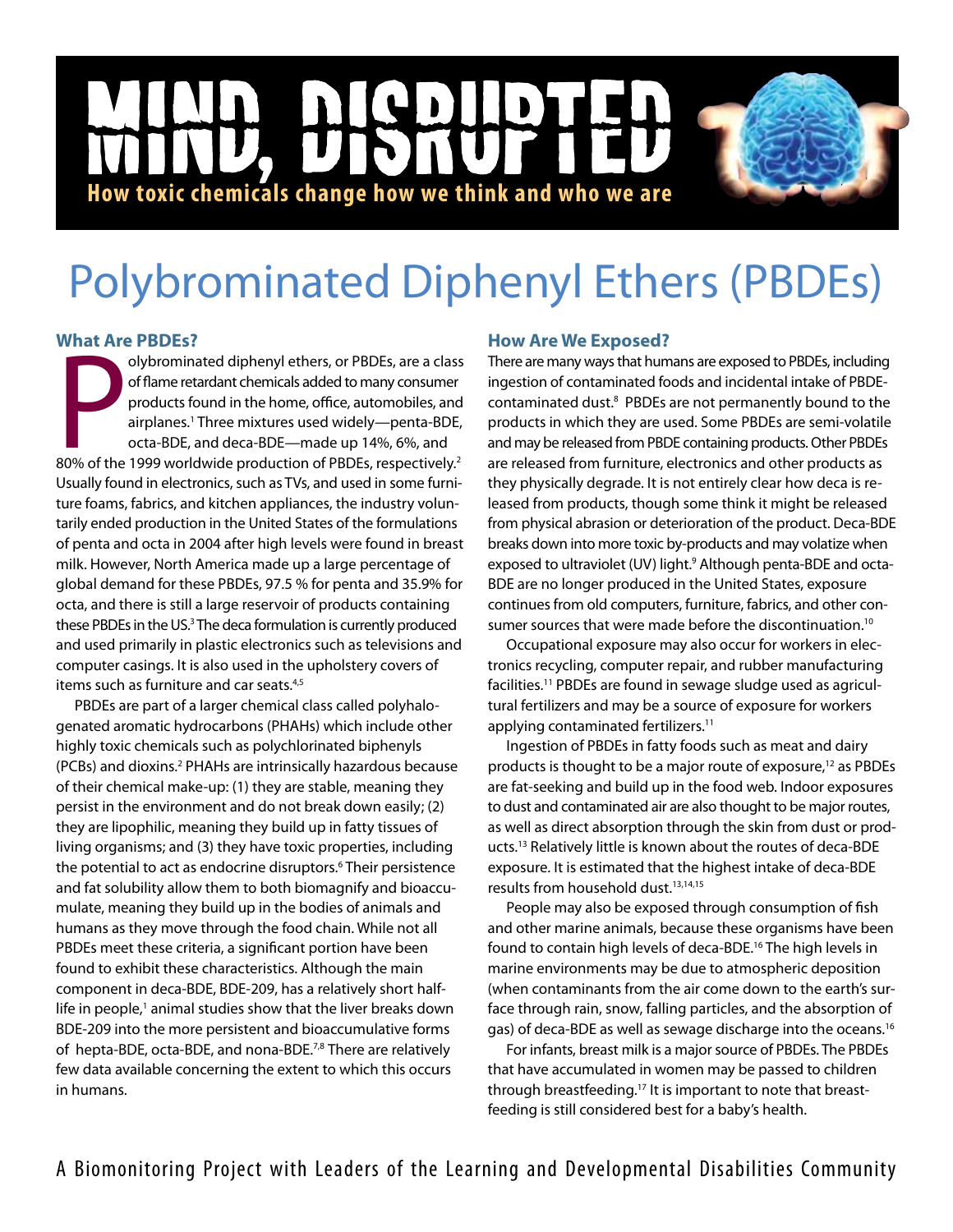# **NGD**  $\mathbf{D}$ |<br>|<br>| **How toxic chemicals change how we think and who we are**

# Polybrominated Diphenyl Ethers (PBDEs)

# **What Are PBDEs?**

olybrominated diphenyl ethers, or PBDEs, are a class<br>of flame retardant chemicals added to many consumer<br>products found in the home, office, automobiles, and<br>airplanes.<sup>1</sup> Three mixtures used widely—penta-BDE,<br>octa-BDE, an olybrominated diphenyl ethers, or PBDEs, are a class of flame retardant chemicals added to many consumer products found in the home, office, automobiles, and airplanes.1 Three mixtures used widely—penta-BDE, octa-BDE, and deca-BDE—made up 14%, 6%, and Usually found in electronics, such as TVs, and used in some furniture foams, fabrics, and kitchen appliances, the industry voluntarily ended production in the United States of the formulations of penta and octa in 2004 after high levels were found in breast milk. However, North America made up a large percentage of global demand for these PBDEs, 97.5 % for penta and 35.9% for octa, and there is still a large reservoir of products containing these PBDEs in the US.<sup>3</sup> The deca formulation is currently produced and used primarily in plastic electronics such as televisions and computer casings. It is also used in the upholstery covers of items such as furniture and car seats.<sup>4,5</sup>

PBDEs are part of a larger chemical class called polyhalogenated aromatic hydrocarbons (PHAHs) which include other highly toxic chemicals such as polychlorinated biphenyls (PCBs) and dioxins.2 PHAHs are intrinsically hazardous because of their chemical make-up: (1) they are stable, meaning they persist in the environment and do not break down easily; (2) they are lipophilic, meaning they build up in fatty tissues of living organisms; and (3) they have toxic properties, including the potential to act as endocrine disruptors.<sup>6</sup> Their persistence and fat solubility allow them to both biomagnify and bioaccumulate, meaning they build up in the bodies of animals and humans as they move through the food chain. While not all PBDEs meet these criteria, a significant portion have been found to exhibit these characteristics. Although the main component in deca-BDE, BDE-209, has a relatively short halflife in people,<sup>1</sup> animal studies show that the liver breaks down BDE-209 into the more persistent and bioaccumulative forms of hepta-BDE, octa-BDE, and nona-BDE.<sup>7,8</sup> There are relatively few data available concerning the extent to which this occurs in humans.

# **How Are We Exposed?**

There are many ways that humans are exposed to PBDEs, including ingestion of contaminated foods and incidental intake of PBDEcontaminated dust.<sup>8</sup> PBDEs are not permanently bound to the products in which they are used. Some PBDEs are semi-volatile and may be released from PBDE containing products. Other PBDEs are released from furniture, electronics and other products as they physically degrade. It is not entirely clear how deca is released from products, though some think it might be released from physical abrasion or deterioration of the product. Deca-BDE breaks down into more toxic by-products and may volatize when exposed to ultraviolet (UV) light.<sup>9</sup> Although penta-BDE and octa-BDE are no longer produced in the United States, exposure continues from old computers, furniture, fabrics, and other consumer sources that were made before the discontinuation.<sup>10</sup>

Occupational exposure may also occur for workers in electronics recycling, computer repair, and rubber manufacturing facilities.11 PBDEs are found in sewage sludge used as agricultural fertilizers and may be a source of exposure for workers applying contaminated fertilizers.<sup>11</sup>

Ingestion of PBDEs in fatty foods such as meat and dairy products is thought to be a major route of exposure,<sup>12</sup> as PBDEs are fat-seeking and build up in the food web. Indoor exposures to dust and contaminated air are also thought to be major routes, as well as direct absorption through the skin from dust or products.13 Relatively little is known about the routes of deca-BDE exposure. It is estimated that the highest intake of deca-BDE results from household dust.<sup>13,14,15</sup>

People may also be exposed through consumption of fish and other marine animals, because these organisms have been found to contain high levels of deca-BDE.16 The high levels in marine environments may be due to atmospheric deposition (when contaminants from the air come down to the earth's surface through rain, snow, falling particles, and the absorption of gas) of deca-BDE as well as sewage discharge into the oceans.16

For infants, breast milk is a major source of PBDEs. The PBDEs that have accumulated in women may be passed to children through breastfeeding.17 It is important to note that breastfeeding is still considered best for a baby's health.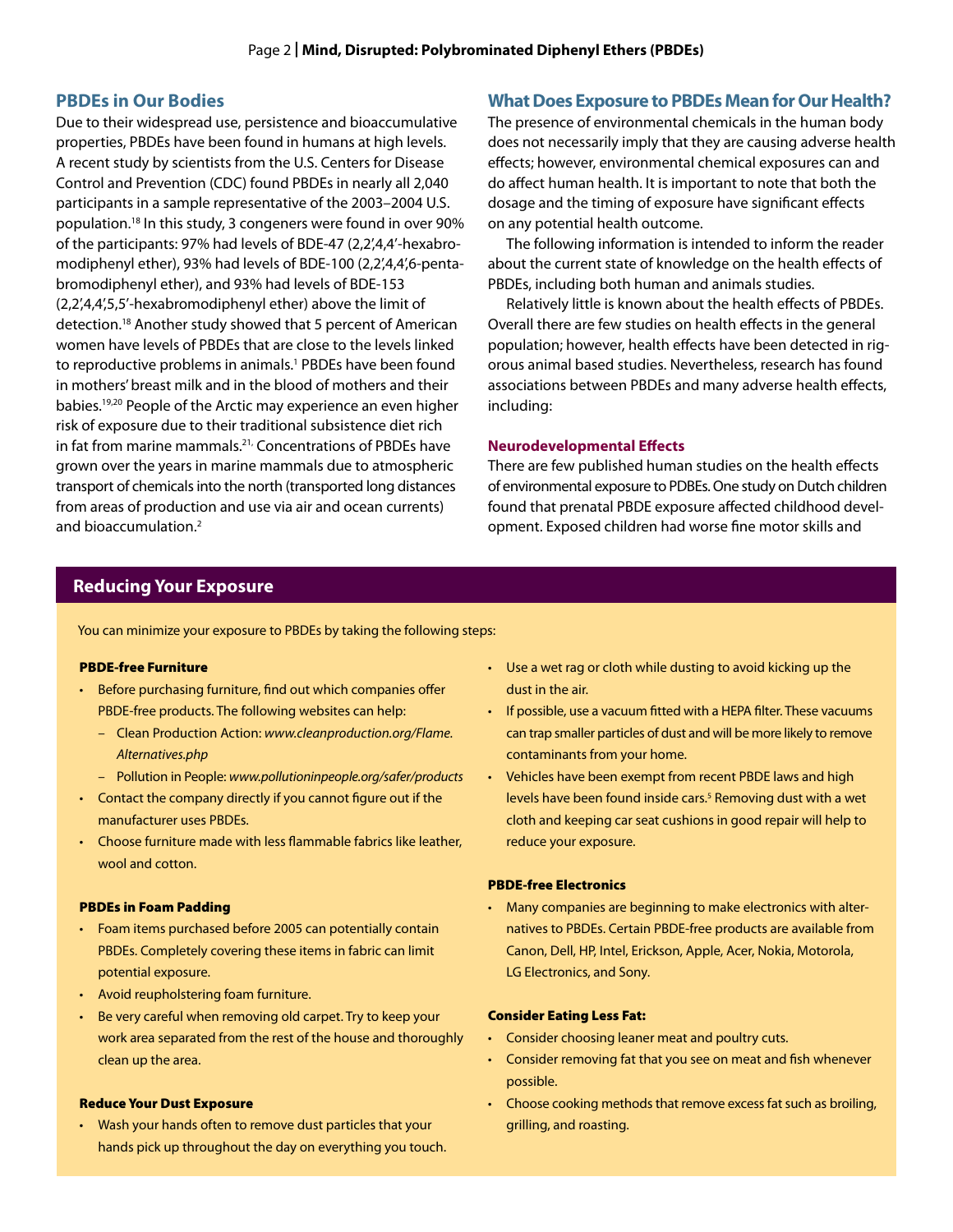#### **PBDEs in Our Bodies**

Due to their widespread use, persistence and bioaccumulative properties, PBDEs have been found in humans at high levels. A recent study by scientists from the U.S. Centers for Disease Control and Prevention (CDC) found PBDEs in nearly all 2,040 participants in a sample representative of the 2003–2004 U.S. population.18 In this study, 3 congeners were found in over 90% of the participants: 97% had levels of BDE-47 (2,2',4,4'-hexabromodiphenyl ether), 93% had levels of BDE-100 (2,2',4,4',6-pentabromodiphenyl ether), and 93% had levels of BDE-153 (2,2',4,4',5,5'-hexabromodiphenyl ether) above the limit of detection.18 Another study showed that 5 percent of American women have levels of PBDEs that are close to the levels linked to reproductive problems in animals.<sup>1</sup> PBDEs have been found in mothers' breast milk and in the blood of mothers and their babies.19,20 People of the Arctic may experience an even higher risk of exposure due to their traditional subsistence diet rich in fat from marine mammals.<sup>21,</sup> Concentrations of PBDEs have grown over the years in marine mammals due to atmospheric transport of chemicals into the north (transported long distances from areas of production and use via air and ocean currents) and bioaccumulation.2

### **What Does Exposure to PBDEs Mean for Our Health?**

The presence of environmental chemicals in the human body does not necessarily imply that they are causing adverse health effects; however, environmental chemical exposures can and do affect human health. It is important to note that both the dosage and the timing of exposure have significant effects on any potential health outcome.

The following information is intended to inform the reader about the current state of knowledge on the health effects of PBDEs, including both human and animals studies.

Relatively little is known about the health effects of PBDEs. Overall there are few studies on health effects in the general population; however, health effects have been detected in rigorous animal based studies. Nevertheless, research has found associations between PBDEs and many adverse health effects, including:

#### **Neurodevelopmental Effects**

There are few published human studies on the health effects of environmental exposure to PDBEs. One study on Dutch children found that prenatal PBDE exposure affected childhood development. Exposed children had worse fine motor skills and

## **Reducing Your Exposure**

You can minimize your exposure to PBDEs by taking the following steps:

#### PBDE-free Furniture

- Before purchasing furniture, find out which companies offer PBDE-free products. The following websites can help:
	- Clean Production Action: *www.cleanproduction.org/Flame. Alternatives.php*
	- Pollution in People: *www.pollutioninpeople.org/safer/products*
- • Contact the company directly if you cannot figure out if the manufacturer uses PBDEs.
- • Choose furniture made with less flammable fabrics like leather, wool and cotton.

#### PBDEs in Foam Padding

- Foam items purchased before 2005 can potentially contain PBDEs. Completely covering these items in fabric can limit potential exposure.
- • Avoid reupholstering foam furniture.
- Be very careful when removing old carpet. Try to keep your work area separated from the rest of the house and thoroughly clean up the area.

#### Reduce Your Dust Exposure

• Wash your hands often to remove dust particles that your hands pick up throughout the day on everything you touch.

- Use a wet rag or cloth while dusting to avoid kicking up the dust in the air.
- If possible, use a vacuum fitted with a HEPA filter. These vacuums can trap smaller particles of dust and will be more likely to remove contaminants from your home.
- Vehicles have been exempt from recent PBDE laws and high levels have been found inside cars.<sup>5</sup> Removing dust with a wet cloth and keeping car seat cushions in good repair will help to reduce your exposure.

#### PBDE-free Electronics

• Many companies are beginning to make electronics with alternatives to PBDEs. Certain PBDE-free products are available from Canon, Dell, HP, Intel, Erickson, Apple, Acer, Nokia, Motorola, LG Electronics, and Sony.

#### Consider Eating Less Fat:

- Consider choosing leaner meat and poultry cuts.
- Consider removing fat that you see on meat and fish whenever possible.
- Choose cooking methods that remove excess fat such as broiling, grilling, and roasting.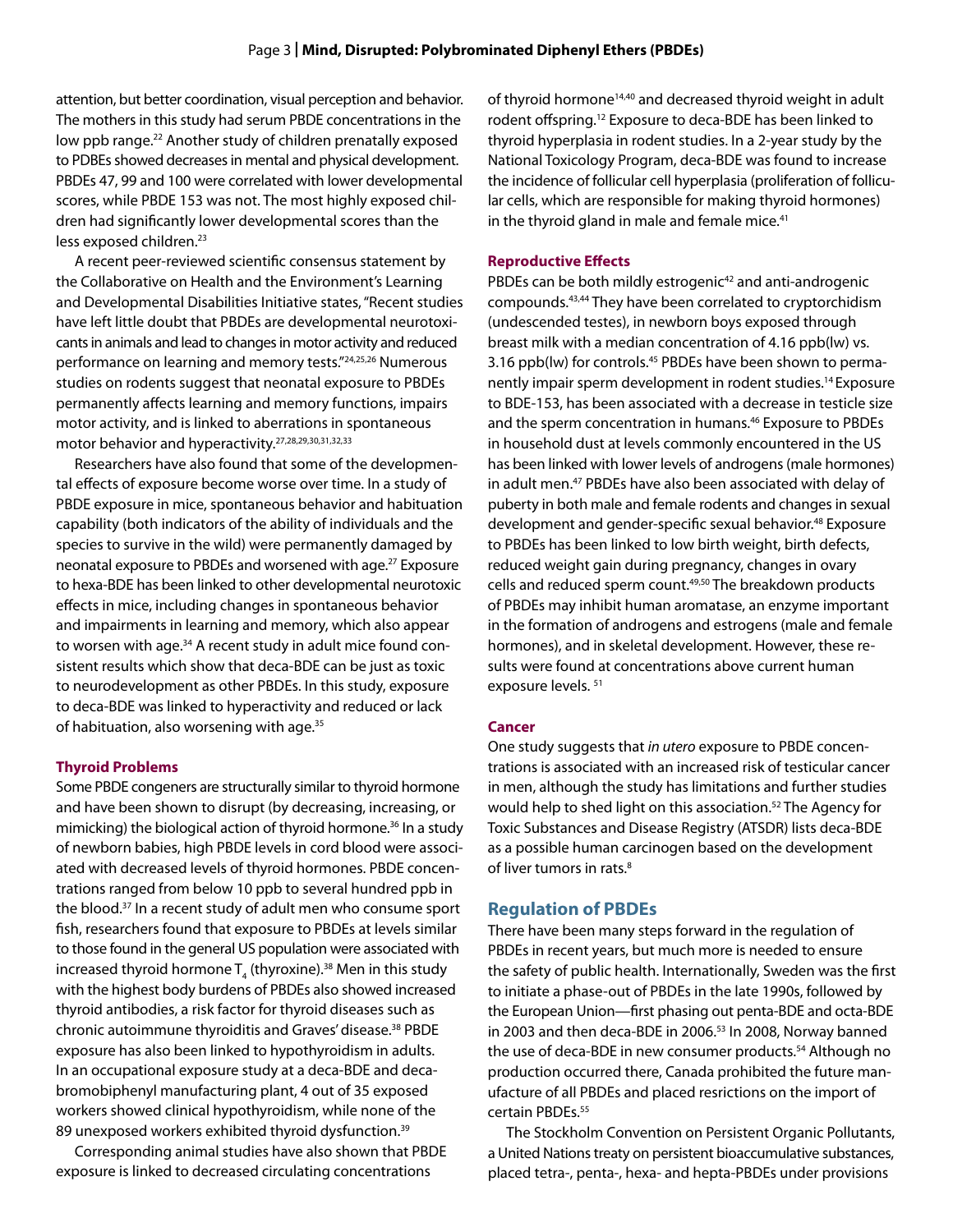attention, but better coordination, visual perception and behavior. The mothers in this study had serum PBDE concentrations in the low ppb range.<sup>22</sup> Another study of children prenatally exposed to PDBEs showed decreases in mental and physical development. PBDEs 47, 99 and 100 were correlated with lower developmental scores, while PBDE 153 was not. The most highly exposed children had significantly lower developmental scores than the less exposed children.<sup>23</sup>

A recent peer-reviewed scientific consensus statement by the Collaborative on Health and the Environment's Learning and Developmental Disabilities Initiative states, "Recent studies have left little doubt that PBDEs are developmental neurotoxicants in animals and lead to changes in motor activity and reduced performance on learning and memory tests."24,25,26 Numerous studies on rodents suggest that neonatal exposure to PBDEs permanently affects learning and memory functions, impairs motor activity, and is linked to aberrations in spontaneous motor behavior and hyperactivity.27,28,29,30,31,32,33

Researchers have also found that some of the developmental effects of exposure become worse over time. In a study of PBDE exposure in mice, spontaneous behavior and habituation capability (both indicators of the ability of individuals and the species to survive in the wild) were permanently damaged by neonatal exposure to PBDEs and worsened with age.<sup>27</sup> Exposure to hexa-BDE has been linked to other developmental neurotoxic effects in mice, including changes in spontaneous behavior and impairments in learning and memory, which also appear to worsen with age.<sup>34</sup> A recent study in adult mice found consistent results which show that deca-BDE can be just as toxic to neurodevelopment as other PBDEs. In this study, exposure to deca-BDE was linked to hyperactivity and reduced or lack of habituation, also worsening with age.<sup>35</sup>

#### **Thyroid Problems**

Some PBDE congeners are structurally similar to thyroid hormone and have been shown to disrupt (by decreasing, increasing, or mimicking) the biological action of thyroid hormone.<sup>36</sup> In a study of newborn babies, high PBDE levels in cord blood were associated with decreased levels of thyroid hormones. PBDE concentrations ranged from below 10 ppb to several hundred ppb in the blood.37 In a recent study of adult men who consume sport fish, researchers found that exposure to PBDEs at levels similar to those found in the general US population were associated with increased thyroid hormone  ${\sf T}_4$  (thyroxine). $^{38}$  Men in this study with the highest body burdens of PBDEs also showed increased thyroid antibodies, a risk factor for thyroid diseases such as chronic autoimmune thyroiditis and Graves' disease.38 PBDE exposure has also been linked to hypothyroidism in adults. In an occupational exposure study at a deca-BDE and decabromobiphenyl manufacturing plant, 4 out of 35 exposed workers showed clinical hypothyroidism, while none of the 89 unexposed workers exhibited thyroid dysfunction.<sup>39</sup>

Corresponding animal studies have also shown that PBDE exposure is linked to decreased circulating concentrations

of thyroid hormone<sup>14,40</sup> and decreased thyroid weight in adult rodent offspring.12 Exposure to deca-BDE has been linked to thyroid hyperplasia in rodent studies. In a 2-year study by the National Toxicology Program, deca-BDE was found to increase the incidence of follicular cell hyperplasia (proliferation of follicular cells, which are responsible for making thyroid hormones) in the thyroid gland in male and female mice.<sup>41</sup>

#### **Reproductive Effects**

PBDEs can be both mildly estrogenic<sup>42</sup> and anti-androgenic compounds.43,44 They have been correlated to cryptorchidism (undescended testes), in newborn boys exposed through breast milk with a median concentration of 4.16 ppb(lw) vs. 3.16 ppb(lw) for controls.<sup>45</sup> PBDEs have been shown to permanently impair sperm development in rodent studies.14 Exposure to BDE-153, has been associated with a decrease in testicle size and the sperm concentration in humans.<sup>46</sup> Exposure to PBDEs in household dust at levels commonly encountered in the US has been linked with lower levels of androgens (male hormones) in adult men.<sup>47</sup> PBDEs have also been associated with delay of puberty in both male and female rodents and changes in sexual development and gender-specific sexual behavior.<sup>48</sup> Exposure to PBDEs has been linked to low birth weight, birth defects, reduced weight gain during pregnancy, changes in ovary cells and reduced sperm count.<sup>49,50</sup> The breakdown products of PBDEs may inhibit human aromatase, an enzyme important in the formation of androgens and estrogens (male and female hormones), and in skeletal development. However, these results were found at concentrations above current human exposure levels. 51

#### **Cancer**

One study suggests that *in utero* exposure to PBDE concentrations is associated with an increased risk of testicular cancer in men, although the study has limitations and further studies would help to shed light on this association.<sup>52</sup> The Agency for Toxic Substances and Disease Registry (ATSDR) lists deca-BDE as a possible human carcinogen based on the development of liver tumors in rats.<sup>8</sup>

#### **Regulation of PBDEs**

There have been many steps forward in the regulation of PBDEs in recent years, but much more is needed to ensure the safety of public health. Internationally, Sweden was the first to initiate a phase-out of PBDEs in the late 1990s, followed by the European Union—first phasing out penta-BDE and octa-BDE in 2003 and then deca-BDE in 2006.<sup>53</sup> In 2008, Norway banned the use of deca-BDE in new consumer products.<sup>54</sup> Although no production occurred there, Canada prohibited the future manufacture of all PBDEs and placed resrictions on the import of certain PBDEs.<sup>55</sup>

The Stockholm Convention on Persistent Organic Pollutants, a United Nations treaty on persistent bioaccumulative substances, placed tetra-, penta-, hexa- and hepta-PBDEs under provisions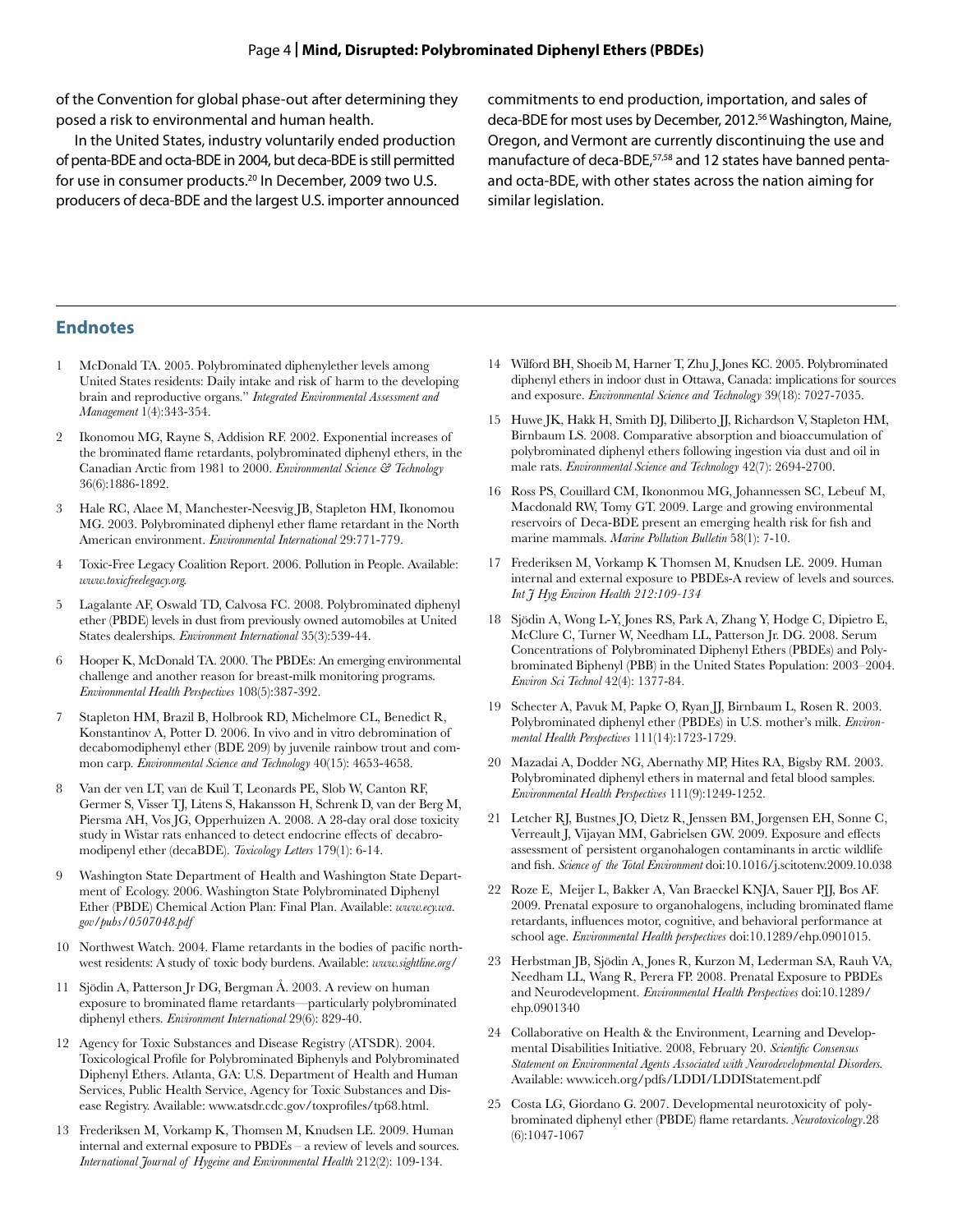of the Convention for global phase-out after determining they posed a risk to environmental and human health.

In the United States, industry voluntarily ended production of penta-BDE and octa-BDE in 2004, but deca-BDE is still permitted for use in consumer products.<sup>20</sup> In December, 2009 two U.S. producers of deca-BDE and the largest U.S. importer announced commitments to end production, importation, and sales of deca-BDE for most uses by December, 2012.<sup>56</sup> Washington, Maine, Oregon, and Vermont are currently discontinuing the use and manufacture of deca-BDE,<sup>57,58</sup> and 12 states have banned pentaand octa-BDE, with other states across the nation aiming for similar legislation.

#### **Endnotes**

- 1 McDonald TA. 2005. Polybrominated diphenylether levels among United States residents: Daily intake and risk of harm to the developing brain and reproductive organs." *Integrated Environmental Assessment and Management* 1(4):343-354.
- 2 Ikonomou MG, Rayne S, Addision RF. 2002. Exponential increases of the brominated flame retardants, polybrominated diphenyl ethers, in the Canadian Arctic from 1981 to 2000. *Environmental Science & Technology*  36(6):1886-1892.
- 3 Hale RC, Alaee M, Manchester-Neesvig JB, Stapleton HM, Ikonomou MG. 2003. Polybrominated diphenyl ether flame retardant in the North American environment. *Environmental International* 29:771-779.
- 4 Toxic-Free Legacy Coalition Report. 2006. Pollution in People. Available: *www.toxicfreelegacy.org.*
- 5 Lagalante AF, Oswald TD, Calvosa FC. 2008. Polybrominated diphenyl ether (PBDE) levels in dust from previously owned automobiles at United States dealerships. *Environment International* 35(3):539-44.
- 6 Hooper K, McDonald TA. 2000. The PBDEs: An emerging environmental challenge and another reason for breast-milk monitoring programs. *Environmental Health Perspectives* 108(5):387-392.
- 7 Stapleton HM, Brazil B, Holbrook RD, Michelmore CL, Benedict R, Konstantinov A, Potter D. 2006. In vivo and in vitro debromination of decabomodiphenyl ether (BDE 209) by juvenile rainbow trout and common carp. *Environmental Science and Technology* 40(15): 4653-4658.
- 8 Van der ven LT, van de Kuil T, Leonards PE, Slob W, Canton RF, Germer S, Visser TJ, Litens S, Hakansson H, Schrenk D, van der Berg M, Piersma AH, Vos JG, Opperhuizen A. 2008. A 28-day oral dose toxicity study in Wistar rats enhanced to detect endocrine effects of decabromodipenyl ether (decaBDE). *Toxicology Letters* 179(1): 6-14.
- 9 Washington State Department of Health and Washington State Department of Ecology. 2006. Washington State Polybrominated Diphenyl Ether (PBDE) Chemical Action Plan: Final Plan*.* Available: *www.ecy.wa. gov/pubs/0507048.pdf*
- 10 Northwest Watch. 2004. Flame retardants in the bodies of pacific northwest residents: A study of toxic body burdens. Available: *www.sightline.org/*
- 11 Sjödin A, Patterson Jr DG, Bergman Å. 2003. A review on human exposure to brominated flame retardants—particularly polybrominated diphenyl ethers. *Environment International* 29(6): 829-40.
- 12 Agency for Toxic Substances and Disease Registry (ATSDR). 2004. Toxicological Profile for Polybrominated Biphenyls and Polybrominated Diphenyl Ethers. Atlanta, GA: U.S. Department of Health and Human Services, Public Health Service, Agency for Toxic Substances and Disease Registry. Available: www.atsdr.cdc.gov/toxprofiles/tp68.html.
- 13 Frederiksen M, Vorkamp K, Thomsen M, Knudsen LE. 2009. Human internal and external exposure to PBDEs – a review of levels and sources. *International Journal of Hygeine and Environmental Health* 212(2): 109-134.
- 14 Wilford BH, Shoeib M, Harner T, Zhu J, Jones KC. 2005. Polybrominated diphenyl ethers in indoor dust in Ottawa, Canada: implications for sources and exposure. *Environmental Science and Technology* 39(18): 7027-7035.
- 15 Huwe JK, Hakk H, Smith DJ, Diliberto JJ, Richardson V, Stapleton HM, Birnbaum LS. 2008. Comparative absorption and bioaccumulation of polybrominated diphenyl ethers following ingestion via dust and oil in male rats. *Environmental Science and Technology* 42(7): 2694-2700.
- 16 Ross PS, Couillard CM, Ikononmou MG, Johannessen SC, Lebeuf M, Macdonald RW, Tomy GT. 2009. Large and growing environmental reservoirs of Deca-BDE present an emerging health risk for fish and marine mammals. *Marine Pollution Bulletin* 58(1): 7-10.
- 17 Frederiksen M, Vorkamp K Thomsen M, Knudsen LE. 2009. Human internal and external exposure to PBDEs-A review of levels and sources. *Int J Hyg Environ Health 212:109-134*
- 18 Sjödin A, Wong L-Y, Jones RS, Park A, Zhang Y, Hodge C, Dipietro E, McClure C, Turner W, Needham LL, Patterson Jr. DG. 2008. Serum Concentrations of Polybrominated Diphenyl Ethers (PBDEs) and Polybrominated Biphenyl (PBB) in the United States Population: 2003–2004. *Environ Sci Technol* 42(4): 1377-84.
- 19 Schecter A, Pavuk M, Papke O, Ryan JJ, Birnbaum L, Rosen R. 2003. Polybrominated diphenyl ether (PBDEs) in U.S. mother's milk. *Environmental Health Perspectives* 111(14):1723-1729.
- 20 Mazadai A, Dodder NG, Abernathy MP, Hites RA, Bigsby RM. 2003. Polybrominated diphenyl ethers in maternal and fetal blood samples. *Environmental Health Perspectives* 111(9):1249-1252.
- 21 Letcher RJ, Bustnes JO, Dietz R, Jenssen BM, Jorgensen EH, Sonne C, Verreault J, Vijayan MM, Gabrielsen GW. 2009. Exposure and effects assessment of persistent organohalogen contaminants in arctic wildlife and fish. *Science of the Total Environment* doi:10.1016/j.scitotenv.2009.10.038
- 22 Roze E, Meijer L, Bakker A, Van Braeckel KNJA, Sauer PJJ, Bos AF. 2009. Prenatal exposure to organohalogens, including brominated flame retardants, influences motor, cognitive, and behavioral performance at school age. *Environmental Health perspectives* doi:10.1289/ehp.0901015.
- 23 Herbstman JB, Sjödin A, Jones R, Kurzon M, Lederman SA, Rauh VA, Needham LL, Wang R, Perera FP. 2008. Prenatal Exposure to PBDEs and Neurodevelopment. *Environmental Health Perspectives* doi:10.1289/ ehp.0901340
- 24 Collaborative on Health & the Environment, Learning and Developmental Disabilities Initiative. 2008, February 20. *Scientific Consensus Statement on Environmental Agents Associated with Neurodevelopmental Disorders.*  Available: www.iceh.org/pdfs/LDDI/LDDIStatement.pdf
- 25 Costa LG, Giordano G. 2007. Developmental neurotoxicity of polybrominated diphenyl ether (PBDE) flame retardants. *Neurotoxicology*.28 (6):1047-1067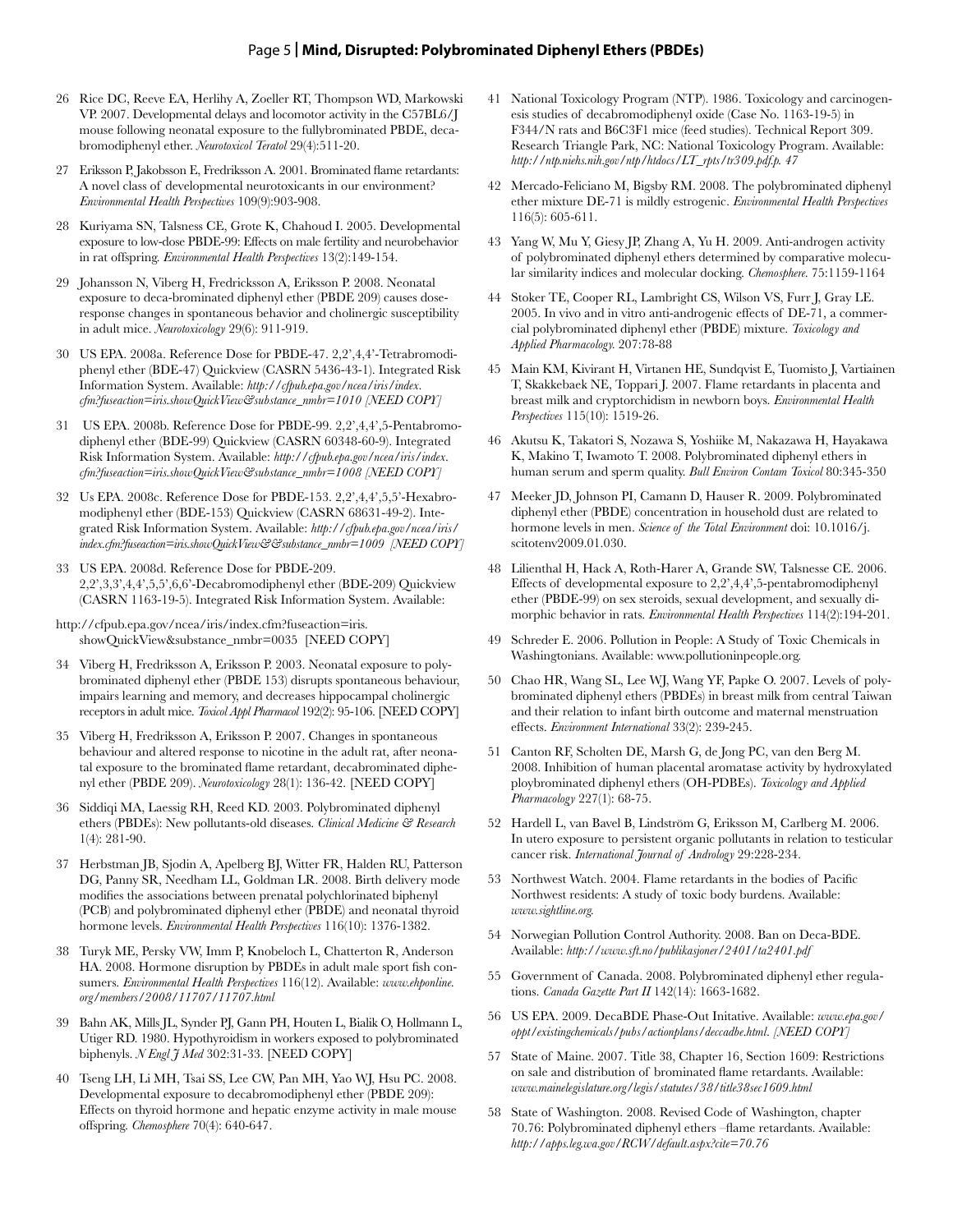- 26 Rice DC, Reeve EA, Herlihy A, Zoeller RT, Thompson WD, Markowski VP. 2007. Developmental delays and locomotor activity in the C57BL6/J mouse following neonatal exposure to the fullybrominated PBDE, decabromodiphenyl ether. *Neurotoxicol Teratol* 29(4):511-20.
- 27 Eriksson P, Jakobsson E, Fredriksson A. 2001. Brominated flame retardants: A novel class of developmental neurotoxicants in our environment? *Environmental Health Perspectives* 109(9):903-908.
- 28 Kuriyama SN, Talsness CE, Grote K, Chahoud I. 2005. Developmental exposure to low-dose PBDE-99: Effects on male fertility and neurobehavior in rat offspring. *Environmental Health Perspectives* 13(2):149-154.
- 29 Johansson N, Viberg H, Fredricksson A, Eriksson P. 2008. Neonatal exposure to deca-brominated diphenyl ether (PBDE 209) causes doseresponse changes in spontaneous behavior and cholinergic susceptibility in adult mice. *Neurotoxicology* 29(6): 911-919.
- 30 US EPA. 2008a. Reference Dose for PBDE-47. 2,2',4,4'-Tetrabromodiphenyl ether (BDE-47) Quickview (CASRN 5436-43-1). Integrated Risk Information System. Available: *http://cfpub.epa.gov/ncea/iris/index. cfm?fuseaction=iris.showQuickView&substance\_nmbr=1010 [NEED COPY]*
- 31 US EPA. 2008b. Reference Dose for PBDE-99. 2,2',4,4',5-Pentabromodiphenyl ether (BDE-99) Quickview (CASRN 60348-60-9). Integrated Risk Information System. Available: *http://cfpub.epa.gov/ncea/iris/index. cfm?fuseaction=iris.showQuickView&substance\_nmbr=1008 [NEED COPY]*
- 32 Us EPA. 2008c. Reference Dose for PBDE-153. 2,2',4,4',5,5'-Hexabromodiphenyl ether (BDE-153) Quickview (CASRN 68631-49-2). Integrated Risk Information System. Available: *http://cfpub.epa.gov/ncea/iris/ index.cfm?fuseaction=iris.showQuickView&&substance\_nmbr=1009 [NEED COPY]*
- 33 US EPA. 2008d. Reference Dose for PBDE-209. 2,2',3,3',4,4',5,5',6,6'-Decabromodiphenyl ether (BDE-209) Quickview (CASRN 1163-19-5). Integrated Risk Information System. Available:
- http://cfpub.epa.gov/ncea/iris/index.cfm?fuseaction=iris. showQuickView&substance\_nmbr=0035 [NEED COPY]
- 34 Viberg H, Fredriksson A, Eriksson P. 2003. Neonatal exposure to polybrominated diphenyl ether (PBDE 153) disrupts spontaneous behaviour, impairs learning and memory, and decreases hippocampal cholinergic receptors in adult mice. *Toxicol Appl Pharmacol* 192(2): 95-106. [NEED COPY]
- 35 Viberg H, Fredriksson A, Eriksson P. 2007. Changes in spontaneous behaviour and altered response to nicotine in the adult rat, after neonatal exposure to the brominated flame retardant, decabrominated diphenyl ether (PBDE 209). *Neurotoxicology* 28(1): 136-42. [NEED COPY]
- 36 Siddiqi MA, Laessig RH, Reed KD. 2003. Polybrominated diphenyl ethers (PBDEs): New pollutants-old diseases. *Clinical Medicine & Research* 1(4): 281-90.
- 37 Herbstman JB, Sjodin A, Apelberg BJ, Witter FR, Halden RU, Patterson DG, Panny SR, Needham LL, Goldman LR. 2008. Birth delivery mode modifies the associations between prenatal polychlorinated biphenyl (PCB) and polybrominated diphenyl ether (PBDE) and neonatal thyroid hormone levels. *Environmental Health Perspectives* 116(10): 1376-1382.
- 38 Turyk ME, Persky VW, Imm P, Knobeloch L, Chatterton R, Anderson HA. 2008. Hormone disruption by PBDEs in adult male sport fish consumers. *Environmental Health Perspectives* 116(12). Available: *www.ehponline. org/members/2008/11707/11707.html*
- 39 Bahn AK, Mills JL, Synder PJ, Gann PH, Houten L, Bialik O, Hollmann L, Utiger RD. 1980. Hypothyroidism in workers exposed to polybrominated biphenyls. *N Engl J Med* 302:31-33. [NEED COPY]
- 40 Tseng LH, Li MH, Tsai SS, Lee CW, Pan MH, Yao WJ, Hsu PC. 2008. Developmental exposure to decabromodiphenyl ether (PBDE 209): Effects on thyroid hormone and hepatic enzyme activity in male mouse offspring. *Chemosphere* 70(4): 640-647.
- 41 National Toxicology Program (NTP). 1986. Toxicology and carcinogenesis studies of decabromodiphenyl oxide (Case No. 1163-19-5) in F344/N rats and B6C3F1 mice (feed studies). Technical Report 309. Research Triangle Park, NC: National Toxicology Program. Available: *http://ntp.niehs.nih.gov/ntp/htdocs/LT\_rpts/tr309.pdf.p. 47*
- 42 Mercado-Feliciano M, Bigsby RM. 2008. The polybrominated diphenyl ether mixture DE-71 is mildly estrogenic. *Environmental Health Perspectives* 116(5): 605-611.
- 43 Yang W, Mu Y, Giesy JP, Zhang A, Yu H. 2009. Anti-androgen activity of polybrominated diphenyl ethers determined by comparative molecular similarity indices and molecular docking. *Chemosphere.* 75:1159-1164
- 44 Stoker TE, Cooper RL, Lambright CS, Wilson VS, Furr J, Gray LE. 2005. In vivo and in vitro anti-androgenic effects of DE-71, a commercial polybrominated diphenyl ether (PBDE) mixture. *Toxicology and Applied Pharmacology.* 207:78-88
- 45 Main KM, Kivirant H, Virtanen HE, Sundqvist E, Tuomisto J, Vartiainen T, Skakkebaek NE, Toppari J. 2007. Flame retardants in placenta and breast milk and cryptorchidism in newborn boys. *Environmental Health Perspectives* 115(10): 1519-26.
- 46 Akutsu K, Takatori S, Nozawa S, Yoshiike M, Nakazawa H, Hayakawa K, Makino T, Iwamoto T. 2008. Polybrominated diphenyl ethers in human serum and sperm quality. *Bull Environ Contam Toxicol* 80:345-350
- 47 Meeker JD, Johnson PI, Camann D, Hauser R. 2009. Polybrominated diphenyl ether (PBDE) concentration in household dust are related to hormone levels in men. *Science of the Total Environment* doi: 10.1016/j. scitotenv2009.01.030.
- 48 Lilienthal H, Hack A, Roth-Harer A, Grande SW, Talsnesse CE. 2006. Effects of developmental exposure to 2,2',4,4',5-pentabromodiphenyl ether (PBDE-99) on sex steroids, sexual development, and sexually dimorphic behavior in rats. *Environmental Health Perspectives* 114(2):194-201.
- 49 Schreder E. 2006. Pollution in People: A Study of Toxic Chemicals in Washingtonians. Available: www.pollutioninpeople.org.
- 50 Chao HR, Wang SL, Lee WJ, Wang YF, Papke O. 2007. Levels of polybrominated diphenyl ethers (PBDEs) in breast milk from central Taiwan and their relation to infant birth outcome and maternal menstruation effects. *Environment International* 33(2): 239-245.
- 51 Canton RF, Scholten DE, Marsh G, de Jong PC, van den Berg M. 2008. Inhibition of human placental aromatase activity by hydroxylated ploybrominated diphenyl ethers (OH-PDBEs). *Toxicology and Applied Pharmacology* 227(1): 68-75.
- 52 Hardell L, van Bavel B, Lindström G, Eriksson M, Carlberg M. 2006. In utero exposure to persistent organic pollutants in relation to testicular cancer risk. *International Journal of Andrology* 29:228-234.
- 53 Northwest Watch. 2004. Flame retardants in the bodies of Pacific Northwest residents: A study of toxic body burdens. Available: *www.sightline.org.*
- 54 Norwegian Pollution Control Authority. 2008. Ban on Deca-BDE. Available: *http://www.sft.no/publikasjoner/2401/ta2401.pdf*
- 55 Government of Canada. 2008. Polybrominated diphenyl ether regulations. *Canada Gazette Part II* 142(14): 1663-1682.
- 56 US EPA. 2009. DecaBDE Phase-Out Initative. Available: *www.epa.gov/ oppt/existingchemicals/pubs/actionplans/deccadbe.html. [NEED COPY]*
- 57 State of Maine. 2007. Title 38, Chapter 16, Section 1609: Restrictions on sale and distribution of brominated flame retardants. Available: *www.mainelegislature.org/legis/statutes/38/title38sec1609.html*
- 58 State of Washington. 2008. Revised Code of Washington, chapter 70.76: Polybrominated diphenyl ethers –flame retardants. Available: *http://apps.leg.wa.gov/RCW/default.aspx?cite=70.76*